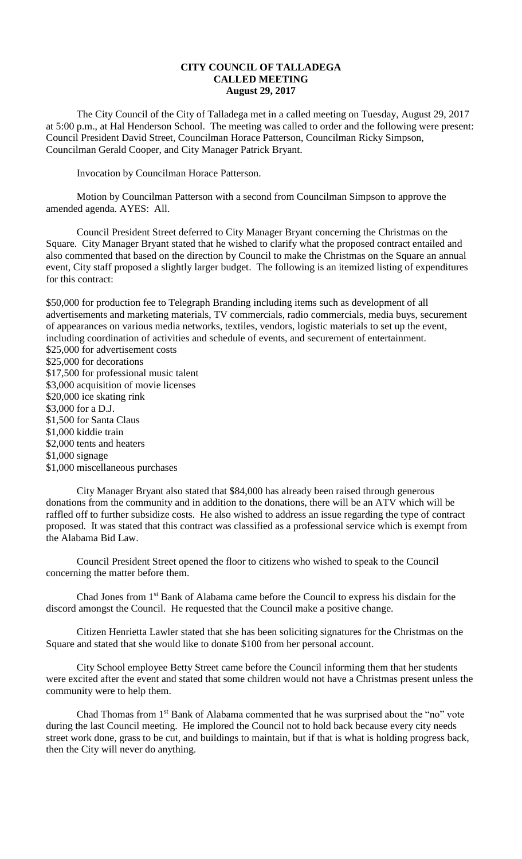## **CITY COUNCIL OF TALLADEGA CALLED MEETING August 29, 2017**

The City Council of the City of Talladega met in a called meeting on Tuesday, August 29, 2017 at 5:00 p.m., at Hal Henderson School. The meeting was called to order and the following were present: Council President David Street, Councilman Horace Patterson, Councilman Ricky Simpson, Councilman Gerald Cooper, and City Manager Patrick Bryant.

Invocation by Councilman Horace Patterson.

Motion by Councilman Patterson with a second from Councilman Simpson to approve the amended agenda. AYES: All.

Council President Street deferred to City Manager Bryant concerning the Christmas on the Square. City Manager Bryant stated that he wished to clarify what the proposed contract entailed and also commented that based on the direction by Council to make the Christmas on the Square an annual event, City staff proposed a slightly larger budget. The following is an itemized listing of expenditures for this contract:

\$50,000 for production fee to Telegraph Branding including items such as development of all advertisements and marketing materials, TV commercials, radio commercials, media buys, securement of appearances on various media networks, textiles, vendors, logistic materials to set up the event, including coordination of activities and schedule of events, and securement of entertainment. \$25,000 for advertisement costs \$25,000 for decorations \$17,500 for professional music talent \$3,000 acquisition of movie licenses \$20,000 ice skating rink \$3,000 for a D.J. \$1,500 for Santa Claus \$1,000 kiddie train \$2,000 tents and heaters \$1,000 signage \$1,000 miscellaneous purchases

City Manager Bryant also stated that \$84,000 has already been raised through generous donations from the community and in addition to the donations, there will be an ATV which will be raffled off to further subsidize costs. He also wished to address an issue regarding the type of contract proposed. It was stated that this contract was classified as a professional service which is exempt from the Alabama Bid Law.

Council President Street opened the floor to citizens who wished to speak to the Council concerning the matter before them.

Chad Jones from 1st Bank of Alabama came before the Council to express his disdain for the discord amongst the Council. He requested that the Council make a positive change.

Citizen Henrietta Lawler stated that she has been soliciting signatures for the Christmas on the Square and stated that she would like to donate \$100 from her personal account.

City School employee Betty Street came before the Council informing them that her students were excited after the event and stated that some children would not have a Christmas present unless the community were to help them.

Chad Thomas from 1st Bank of Alabama commented that he was surprised about the "no" vote during the last Council meeting. He implored the Council not to hold back because every city needs street work done, grass to be cut, and buildings to maintain, but if that is what is holding progress back, then the City will never do anything.